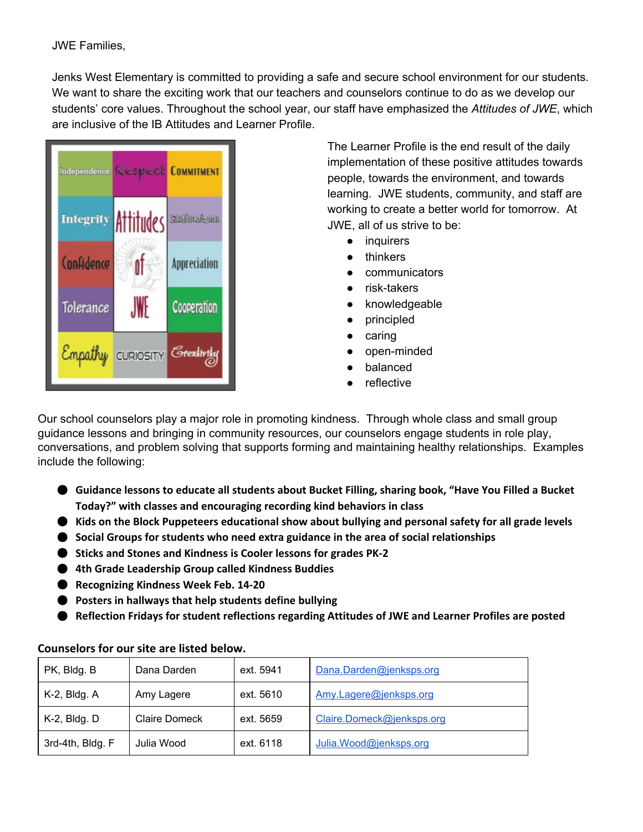Jenks West Elementary is committed to providing a safe and secure school environment for our students. We want to share the exciting work that our teachers and counselors continue to do as we develop our students' core values. Throughout the school year, our staff have emphasized the *Attitudes of JWE*, which are inclusive of the IB Attitudes and Learner Profile.



The Learner Profile is the end result of the daily implementation of these positive attitudes towards people, towards the environment, and towards learning. JWE students, community, and staff are working to create a better world for tomorrow. At JWE, all of us strive to be:

- inquirers
- thinkers
- communicators
- risk-takers
- knowledgeable
- principled
- caring
- open-minded
- balanced
- reflective

Our school counselors play a major role in promoting kindness. Through whole class and small group guidance lessons and bringing in community resources, our counselors engage students in role play, conversations, and problem solving that supports forming and maintaining healthy relationships. Examples include the following:

- **Guidance lessons to educate all students about Bucket Filling, sharing book, "Have You Filled a Bucket Today?" with classes and encouraging recording kind behaviors in class**
- **Kids on the Block Puppeteers educational show about bullying and personal safety for all grade levels**
- **Social Groups for students who need extra guidance in the area of social relationships**
- **Sticks and Stones and Kindness is Cooler lessons for grades PK-2**
- **4th Grade Leadership Group called Kindness Buddies**
- **Recognizing Kindness Week Feb. 14-20**
- **Posters in hallways that help students define bullying**
- **Reflection Fridays for student reflections regarding Attitudes of JWE and Learner Profiles are posted**

| PK, Bldg. B      | Dana Darden          | ext. 5941 | Dana.Darden@jenksps.org   |
|------------------|----------------------|-----------|---------------------------|
| $K-2$ , Bldg. A  | Amy Lagere           | ext. 5610 | Amy.Lagere@jenksps.org    |
| $K-2$ , Bldg. D  | <b>Claire Domeck</b> | ext. 5659 | Claire.Domeck@jenksps.org |
| 3rd-4th, Bldg. F | Julia Wood           | ext. 6118 | Julia. Wood@jenksps.org   |

## **Counselors for our site are listed below.**